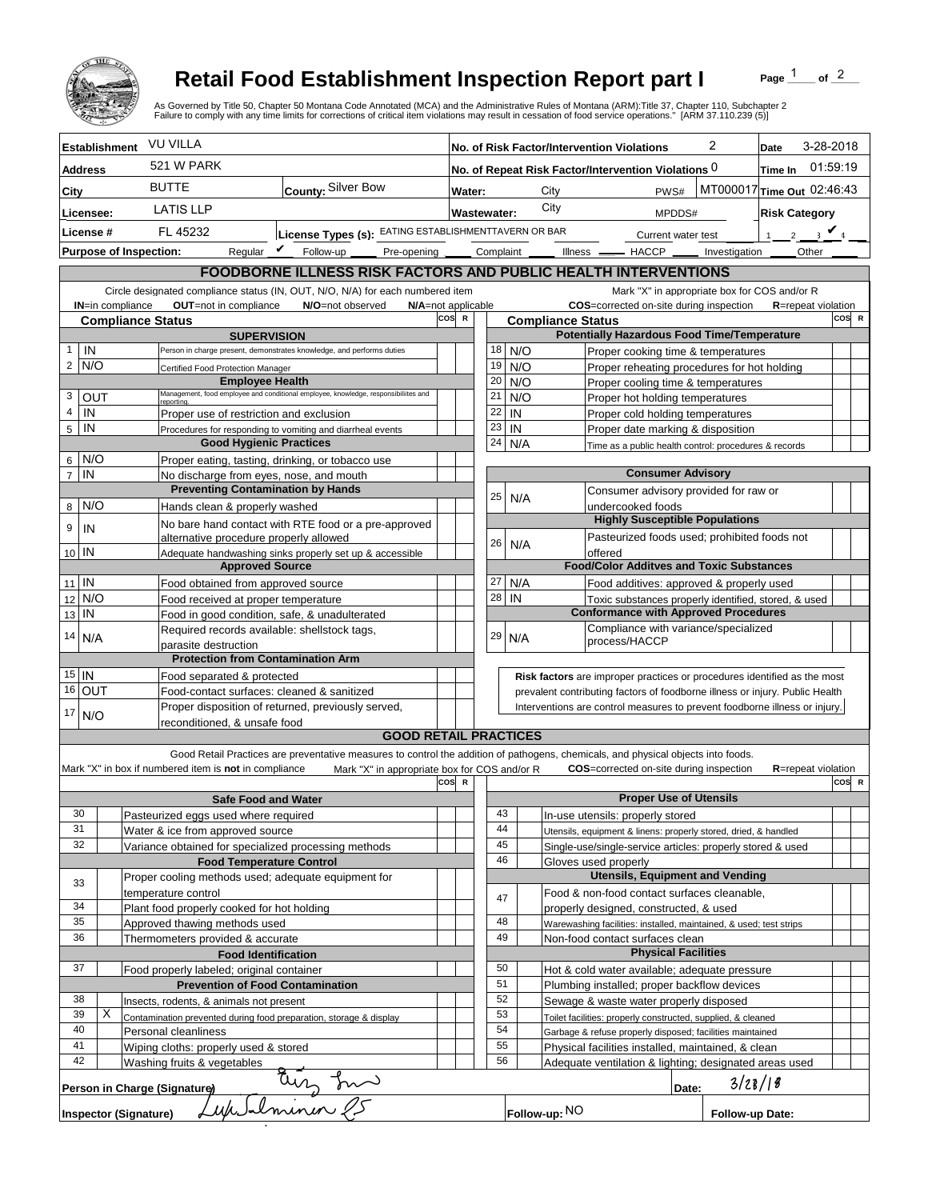

## **Retail Food Establishment Inspection Report part I**

Page  $\frac{1}{1}$  of  $\frac{2}{1}$ 

|                                                                                                                                |                                                                                                                                                                          |                                                                            | <b>Retail Food Establishment Inspection Report part I</b><br>As Governed by Title 50, Chapter 50 Montana Code Annotated (MCA) and the Administrative Rules of Montana (ARM):Title 37, Chapter 110, Subchapter 2<br>Failure to comply with any time limits for corrections of critical item violations may result in cessation of food service operations." [ARM 37.110.239 (5)] |     |                                                                |                                                      |                                                                                                              |                          |                                                                                   |                                                                                                     |   | Page            |                            | of $2$ |  |
|--------------------------------------------------------------------------------------------------------------------------------|--------------------------------------------------------------------------------------------------------------------------------------------------------------------------|----------------------------------------------------------------------------|---------------------------------------------------------------------------------------------------------------------------------------------------------------------------------------------------------------------------------------------------------------------------------------------------------------------------------------------------------------------------------|-----|----------------------------------------------------------------|------------------------------------------------------|--------------------------------------------------------------------------------------------------------------|--------------------------|-----------------------------------------------------------------------------------|-----------------------------------------------------------------------------------------------------|---|-----------------|----------------------------|--------|--|
|                                                                                                                                | <b>Establishment</b>                                                                                                                                                     | <b>VU VILLA</b>                                                            |                                                                                                                                                                                                                                                                                                                                                                                 |     |                                                                |                                                      |                                                                                                              |                          | No. of Risk Factor/Intervention Violations                                        |                                                                                                     | 2 | Date            | 3-28-2018                  |        |  |
| <b>Address</b>                                                                                                                 |                                                                                                                                                                          | 521 W PARK                                                                 |                                                                                                                                                                                                                                                                                                                                                                                 |     | No. of Repeat Risk Factor/Intervention Violations 0<br>Time In |                                                      |                                                                                                              |                          |                                                                                   | 01:59:19                                                                                            |   |                 |                            |        |  |
| City                                                                                                                           |                                                                                                                                                                          | <b>BUTTE</b>                                                               | County: Silver Bow                                                                                                                                                                                                                                                                                                                                                              |     |                                                                | MT000017 Time Out 02:46:43<br>City<br>PWS#<br>Water: |                                                                                                              |                          |                                                                                   |                                                                                                     |   |                 |                            |        |  |
| Licensee:                                                                                                                      |                                                                                                                                                                          | <b>LATIS LLP</b>                                                           |                                                                                                                                                                                                                                                                                                                                                                                 |     |                                                                | City<br><b>Wastewater:</b><br>MPDDS#                 |                                                                                                              |                          |                                                                                   |                                                                                                     |   |                 |                            |        |  |
| License #                                                                                                                      |                                                                                                                                                                          |                                                                            | License Types (s): EATING ESTABLISHMENTTAVERN OR BAR<br>FL 45232                                                                                                                                                                                                                                                                                                                |     |                                                                | Current water test                                   |                                                                                                              |                          |                                                                                   | <b>Risk Category</b><br>$1 \quad 2 \quad 3$ $\bigvee_4$                                             |   |                 |                            |        |  |
|                                                                                                                                |                                                                                                                                                                          |                                                                            | Regular $\boldsymbol{V}$<br>Follow-up<br>Pre-opening _____                                                                                                                                                                                                                                                                                                                      |     |                                                                |                                                      |                                                                                                              |                          |                                                                                   |                                                                                                     |   |                 | Other                      |        |  |
|                                                                                                                                | <b>Purpose of Inspection:</b><br>Complaint _______ Illness ________ HACCP _______ Investigation<br><b>FOODBORNE ILLNESS RISK FACTORS AND PUBLIC HEALTH INTERVENTIONS</b> |                                                                            |                                                                                                                                                                                                                                                                                                                                                                                 |     |                                                                |                                                      |                                                                                                              |                          |                                                                                   |                                                                                                     |   |                 |                            |        |  |
| Circle designated compliance status (IN, OUT, N/O, N/A) for each numbered item<br>Mark "X" in appropriate box for COS and/or R |                                                                                                                                                                          |                                                                            |                                                                                                                                                                                                                                                                                                                                                                                 |     |                                                                |                                                      |                                                                                                              |                          |                                                                                   |                                                                                                     |   |                 |                            |        |  |
|                                                                                                                                | IN=in compliance                                                                                                                                                         |                                                                            | OUT=not in compliance<br>N/O=not observed<br>N/A=not applicable                                                                                                                                                                                                                                                                                                                 |     |                                                                |                                                      |                                                                                                              |                          |                                                                                   | COS=corrected on-site during inspection                                                             |   |                 | <b>R</b> =repeat violation |        |  |
|                                                                                                                                |                                                                                                                                                                          | <b>Compliance Status</b>                                                   | cos                                                                                                                                                                                                                                                                                                                                                                             |     |                                                                |                                                      |                                                                                                              | <b>Compliance Status</b> |                                                                                   |                                                                                                     |   |                 |                            | COS R  |  |
| IN                                                                                                                             | <b>SUPERVISION</b><br>Person in charge present, demonstrates knowledge, and performs duties                                                                              |                                                                            |                                                                                                                                                                                                                                                                                                                                                                                 |     |                                                                | 18                                                   | N/O                                                                                                          |                          |                                                                                   | <b>Potentially Hazardous Food Time/Temperature</b>                                                  |   |                 |                            |        |  |
| $2$ N/O                                                                                                                        | Certified Food Protection Manager                                                                                                                                        |                                                                            |                                                                                                                                                                                                                                                                                                                                                                                 |     |                                                                | 19                                                   | N/O                                                                                                          |                          | Proper cooking time & temperatures<br>Proper reheating procedures for hot holding |                                                                                                     |   |                 |                            |        |  |
|                                                                                                                                |                                                                                                                                                                          | <b>Employee Health</b>                                                     |                                                                                                                                                                                                                                                                                                                                                                                 |     |                                                                | 20                                                   | N/O                                                                                                          |                          |                                                                                   | Proper cooling time & temperatures                                                                  |   |                 |                            |        |  |
| 3                                                                                                                              | OUT                                                                                                                                                                      | eporting                                                                   | Management, food employee and conditional employee, knowledge, responsibiliites and                                                                                                                                                                                                                                                                                             |     |                                                                | 21                                                   | N/O                                                                                                          |                          |                                                                                   | Proper hot holding temperatures                                                                     |   |                 |                            |        |  |
| 4<br>IN                                                                                                                        |                                                                                                                                                                          | Proper use of restriction and exclusion                                    |                                                                                                                                                                                                                                                                                                                                                                                 |     |                                                                | 22                                                   | IN                                                                                                           |                          | Proper cold holding temperatures                                                  |                                                                                                     |   |                 |                            |        |  |
| IN<br>5                                                                                                                        |                                                                                                                                                                          |                                                                            | Procedures for responding to vomiting and diarrheal events                                                                                                                                                                                                                                                                                                                      |     |                                                                | 23<br>24                                             | IN<br>N/A                                                                                                    |                          |                                                                                   | Proper date marking & disposition                                                                   |   |                 |                            |        |  |
| $6$ N/O                                                                                                                        | <b>Good Hygienic Practices</b><br>Proper eating, tasting, drinking, or tobacco use                                                                                       |                                                                            |                                                                                                                                                                                                                                                                                                                                                                                 |     |                                                                |                                                      |                                                                                                              |                          |                                                                                   | Time as a public health control: procedures & records                                               |   |                 |                            |        |  |
| $\overline{7}$<br>IN                                                                                                           | No discharge from eyes, nose, and mouth                                                                                                                                  |                                                                            |                                                                                                                                                                                                                                                                                                                                                                                 |     |                                                                |                                                      |                                                                                                              |                          |                                                                                   | <b>Consumer Advisory</b>                                                                            |   |                 |                            |        |  |
|                                                                                                                                |                                                                                                                                                                          |                                                                            | <b>Preventing Contamination by Hands</b>                                                                                                                                                                                                                                                                                                                                        |     |                                                                | 25                                                   | N/A                                                                                                          |                          |                                                                                   | Consumer advisory provided for raw or                                                               |   |                 |                            |        |  |
| 8 N/O                                                                                                                          |                                                                                                                                                                          | Hands clean & properly washed                                              |                                                                                                                                                                                                                                                                                                                                                                                 |     |                                                                |                                                      |                                                                                                              |                          |                                                                                   | undercooked foods<br><b>Highly Susceptible Populations</b>                                          |   |                 |                            |        |  |
| 9<br>IN                                                                                                                        |                                                                                                                                                                          |                                                                            | No bare hand contact with RTE food or a pre-approved                                                                                                                                                                                                                                                                                                                            |     |                                                                |                                                      |                                                                                                              |                          |                                                                                   | Pasteurized foods used; prohibited foods not                                                        |   |                 |                            |        |  |
| $10$ IN                                                                                                                        |                                                                                                                                                                          |                                                                            | alternative procedure properly allowed<br>Adequate handwashing sinks properly set up & accessible                                                                                                                                                                                                                                                                               |     |                                                                | 26                                                   | N/A                                                                                                          |                          | offered                                                                           |                                                                                                     |   |                 |                            |        |  |
|                                                                                                                                |                                                                                                                                                                          | <b>Approved Source</b>                                                     |                                                                                                                                                                                                                                                                                                                                                                                 |     |                                                                |                                                      |                                                                                                              |                          |                                                                                   | <b>Food/Color Additves and Toxic Substances</b>                                                     |   |                 |                            |        |  |
| $11$ IN                                                                                                                        |                                                                                                                                                                          | Food obtained from approved source                                         |                                                                                                                                                                                                                                                                                                                                                                                 |     |                                                                | 27                                                   | N/A                                                                                                          |                          |                                                                                   | Food additives: approved & properly used                                                            |   |                 |                            |        |  |
| N/O<br>12                                                                                                                      |                                                                                                                                                                          | Food received at proper temperature                                        |                                                                                                                                                                                                                                                                                                                                                                                 |     |                                                                | 28                                                   | IN                                                                                                           |                          |                                                                                   | Toxic substances properly identified, stored, & used<br><b>Conformance with Approved Procedures</b> |   |                 |                            |        |  |
| 13 IN                                                                                                                          |                                                                                                                                                                          |                                                                            | Food in good condition, safe, & unadulterated                                                                                                                                                                                                                                                                                                                                   |     |                                                                |                                                      |                                                                                                              |                          |                                                                                   | Compliance with variance/specialized                                                                |   |                 |                            |        |  |
| 14<br>N/A                                                                                                                      |                                                                                                                                                                          | parasite destruction                                                       | Required records available: shellstock tags,                                                                                                                                                                                                                                                                                                                                    |     |                                                                | 29                                                   | N/A                                                                                                          |                          | process/HACCP                                                                     |                                                                                                     |   |                 |                            |        |  |
|                                                                                                                                |                                                                                                                                                                          | <b>Protection from Contamination Arm</b>                                   |                                                                                                                                                                                                                                                                                                                                                                                 |     |                                                                |                                                      |                                                                                                              |                          |                                                                                   |                                                                                                     |   |                 |                            |        |  |
| $15$ IN                                                                                                                        |                                                                                                                                                                          |                                                                            | Food separated & protected                                                                                                                                                                                                                                                                                                                                                      |     |                                                                |                                                      |                                                                                                              |                          |                                                                                   | Risk factors are improper practices or procedures identified as the most                            |   |                 |                            |        |  |
| 16 OUT                                                                                                                         | Food-contact surfaces: cleaned & sanitized                                                                                                                               |                                                                            |                                                                                                                                                                                                                                                                                                                                                                                 |     |                                                                |                                                      |                                                                                                              |                          | prevalent contributing factors of foodborne illness or injury. Public Health      |                                                                                                     |   |                 |                            |        |  |
| 17<br>N/O                                                                                                                      | Proper disposition of returned, previously served,<br>reconditioned, & unsafe food                                                                                       |                                                                            |                                                                                                                                                                                                                                                                                                                                                                                 |     |                                                                |                                                      |                                                                                                              |                          |                                                                                   | Interventions are control measures to prevent foodborne illness or injury.                          |   |                 |                            |        |  |
|                                                                                                                                |                                                                                                                                                                          |                                                                            | <b>GOOD RETAIL PRACTICES</b>                                                                                                                                                                                                                                                                                                                                                    |     |                                                                |                                                      |                                                                                                              |                          |                                                                                   |                                                                                                     |   |                 |                            |        |  |
|                                                                                                                                |                                                                                                                                                                          |                                                                            | Good Retail Practices are preventative measures to control the addition of pathogens, chemicals, and physical objects into foods.                                                                                                                                                                                                                                               |     |                                                                |                                                      |                                                                                                              |                          |                                                                                   |                                                                                                     |   |                 |                            |        |  |
|                                                                                                                                |                                                                                                                                                                          | Mark "X" in box if numbered item is not in compliance                      | Mark "X" in appropriate box for COS and/or R                                                                                                                                                                                                                                                                                                                                    | cos | $\mathsf{R}$                                                   |                                                      |                                                                                                              |                          |                                                                                   | <b>COS</b> =corrected on-site during inspection                                                     |   |                 | R=repeat violation         | COS R  |  |
|                                                                                                                                |                                                                                                                                                                          | <b>Safe Food and Water</b>                                                 |                                                                                                                                                                                                                                                                                                                                                                                 |     |                                                                |                                                      |                                                                                                              |                          |                                                                                   | <b>Proper Use of Utensils</b>                                                                       |   |                 |                            |        |  |
| 30                                                                                                                             |                                                                                                                                                                          | Pasteurized eggs used where required                                       |                                                                                                                                                                                                                                                                                                                                                                                 |     |                                                                | 43                                                   |                                                                                                              |                          |                                                                                   | In-use utensils: properly stored                                                                    |   |                 |                            |        |  |
| 31                                                                                                                             |                                                                                                                                                                          | Water & ice from approved source                                           |                                                                                                                                                                                                                                                                                                                                                                                 |     |                                                                | 44                                                   |                                                                                                              |                          |                                                                                   | Utensils, equipment & linens: properly stored, dried, & handled                                     |   |                 |                            |        |  |
| 32                                                                                                                             |                                                                                                                                                                          | Variance obtained for specialized processing methods                       |                                                                                                                                                                                                                                                                                                                                                                                 |     |                                                                | 45                                                   |                                                                                                              |                          |                                                                                   | Single-use/single-service articles: properly stored & used                                          |   |                 |                            |        |  |
|                                                                                                                                |                                                                                                                                                                          | <b>Food Temperature Control</b>                                            |                                                                                                                                                                                                                                                                                                                                                                                 |     |                                                                | 46                                                   |                                                                                                              |                          | Gloves used properly                                                              | <b>Utensils, Equipment and Vending</b>                                                              |   |                 |                            |        |  |
| 33                                                                                                                             |                                                                                                                                                                          | Proper cooling methods used; adequate equipment for<br>temperature control |                                                                                                                                                                                                                                                                                                                                                                                 |     |                                                                |                                                      |                                                                                                              |                          |                                                                                   | Food & non-food contact surfaces cleanable,                                                         |   |                 |                            |        |  |
| 34                                                                                                                             |                                                                                                                                                                          | Plant food properly cooked for hot holding                                 |                                                                                                                                                                                                                                                                                                                                                                                 |     |                                                                | 47                                                   |                                                                                                              |                          |                                                                                   | properly designed, constructed, & used                                                              |   |                 |                            |        |  |
| 35                                                                                                                             |                                                                                                                                                                          | Approved thawing methods used                                              |                                                                                                                                                                                                                                                                                                                                                                                 |     |                                                                | 48                                                   |                                                                                                              |                          |                                                                                   | Warewashing facilities: installed, maintained, & used; test strips                                  |   |                 |                            |        |  |
| 36                                                                                                                             | Thermometers provided & accurate                                                                                                                                         |                                                                            |                                                                                                                                                                                                                                                                                                                                                                                 |     | 49                                                             |                                                      |                                                                                                              |                          | Non-food contact surfaces clean                                                   |                                                                                                     |   |                 |                            |        |  |
| 37                                                                                                                             |                                                                                                                                                                          | <b>Food Identification</b>                                                 |                                                                                                                                                                                                                                                                                                                                                                                 |     |                                                                | 50                                                   |                                                                                                              |                          |                                                                                   | <b>Physical Facilities</b>                                                                          |   |                 |                            |        |  |
|                                                                                                                                |                                                                                                                                                                          |                                                                            | Food properly labeled; original container<br><b>Prevention of Food Contamination</b>                                                                                                                                                                                                                                                                                            |     |                                                                | 51                                                   |                                                                                                              |                          |                                                                                   | Hot & cold water available; adequate pressure<br>Plumbing installed; proper backflow devices        |   |                 |                            |        |  |
| 38                                                                                                                             | Insects, rodents, & animals not present                                                                                                                                  |                                                                            |                                                                                                                                                                                                                                                                                                                                                                                 |     |                                                                | 52                                                   |                                                                                                              |                          |                                                                                   |                                                                                                     |   |                 |                            |        |  |
| Х<br>39                                                                                                                        |                                                                                                                                                                          |                                                                            | Contamination prevented during food preparation, storage & display                                                                                                                                                                                                                                                                                                              |     |                                                                |                                                      | Sewage & waste water properly disposed<br>53<br>Toilet facilities: properly constructed, supplied, & cleaned |                          |                                                                                   |                                                                                                     |   |                 |                            |        |  |
| 40                                                                                                                             |                                                                                                                                                                          | Personal cleanliness                                                       |                                                                                                                                                                                                                                                                                                                                                                                 |     |                                                                |                                                      | 54<br>Garbage & refuse properly disposed; facilities maintained                                              |                          |                                                                                   |                                                                                                     |   |                 |                            |        |  |
| 42                                                                                                                             | 41<br>Wiping cloths: properly used & stored                                                                                                                              |                                                                            |                                                                                                                                                                                                                                                                                                                                                                                 |     |                                                                | 55<br>56                                             |                                                                                                              |                          |                                                                                   | Physical facilities installed, maintained, & clean                                                  |   |                 |                            |        |  |
| Washing fruits & vegetables<br>Adequate ventilation & lighting; designated areas used<br>3/28/18                               |                                                                                                                                                                          |                                                                            |                                                                                                                                                                                                                                                                                                                                                                                 |     |                                                                |                                                      |                                                                                                              |                          |                                                                                   |                                                                                                     |   |                 |                            |        |  |
|                                                                                                                                |                                                                                                                                                                          | Person in Charge (Signature)                                               | re) any ma                                                                                                                                                                                                                                                                                                                                                                      |     |                                                                |                                                      |                                                                                                              |                          |                                                                                   | Date:                                                                                               |   |                 |                            |        |  |
|                                                                                                                                |                                                                                                                                                                          | <b>Inspector (Signature)</b>                                               |                                                                                                                                                                                                                                                                                                                                                                                 |     |                                                                |                                                      |                                                                                                              | Follow-up: NO            |                                                                                   |                                                                                                     |   | Follow-up Date: |                            |        |  |